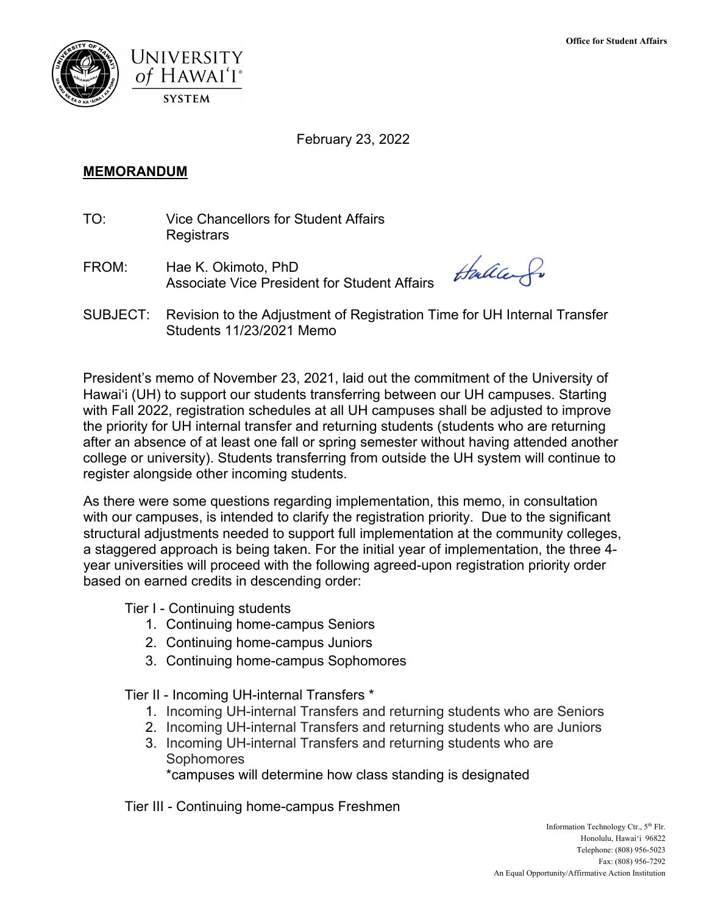

February 23, 2022

## **MEMORANDUM**

- TO: Vice Chancellors for Student Affairs **Registrars**
- FROM: Hae K. Okimoto, PhD Associate Vice President for Student Affairs

thallen fo

SUBJECT: Revision to the Adjustment of Registration Time for UH Internal Transfer Students 11/23/2021 Memo

President's memo of November 23, 2021, laid out the commitment of the University of Hawai'i (UH) to support our students transferring between our UH campuses. Starting with Fall 2022, registration schedules at all UH campuses shall be adjusted to improve the priority for UH internal transfer and returning students (students who are returning after an absence of at least one fall or spring semester without having attended another college or university). Students transferring from outside the UH system will continue to register alongside other incoming students.

As there were some questions regarding implementation, this memo, in consultation with our campuses, is intended to clarify the registration priority. Due to the significant structural adjustments needed to support full implementation at the community colleges, a staggered approach is being taken. For the initial year of implementation, the three 4 year universities will proceed with the following agreed-upon registration priority order based on earned credits in descending order:

Tier I - Continuing students

- 1. Continuing home-campus Seniors
- 2. Continuing home-campus Juniors
- 3. Continuing home-campus Sophomores

Tier II - Incoming UH-internal Transfers \*

- 1. Incoming UH-internal Transfers and returning students who are Seniors
- 2. Incoming UH-internal Transfers and returning students who are Juniors
- 3. Incoming UH-internal Transfers and returning students who are **Sophomores**

\*campuses will determine how class standing is designated

Tier III - Continuing home-campus Freshmen